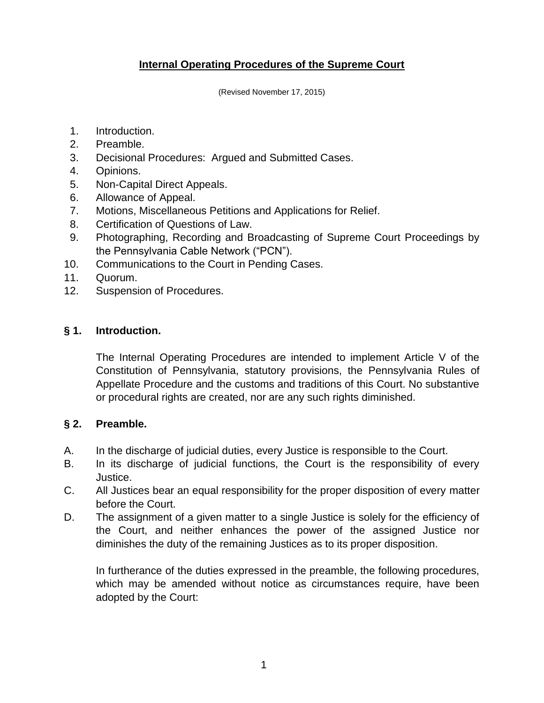## **Internal Operating Procedures of the Supreme Court**

(Revised November 17, 2015)

- 1. Introduction.
- 2. Preamble.
- 3. Decisional Procedures: Argued and Submitted Cases.
- 4. Opinions.
- 5. Non-Capital Direct Appeals.
- 6. Allowance of Appeal.
- 7. Motions, Miscellaneous Petitions and Applications for Relief.
- 8. Certification of Questions of Law.
- 9. Photographing, Recording and Broadcasting of Supreme Court Proceedings by the Pennsylvania Cable Network ("PCN").
- 10. Communications to the Court in Pending Cases.
- 11. Quorum.
- 12. Suspension of Procedures.

### **§ 1. Introduction.**

The Internal Operating Procedures are intended to implement Article V of the Constitution of Pennsylvania, statutory provisions, the Pennsylvania Rules of Appellate Procedure and the customs and traditions of this Court. No substantive or procedural rights are created, nor are any such rights diminished.

### **§ 2. Preamble.**

- A. In the discharge of judicial duties, every Justice is responsible to the Court.
- B. In its discharge of judicial functions, the Court is the responsibility of every Justice.
- C. All Justices bear an equal responsibility for the proper disposition of every matter before the Court.
- D. The assignment of a given matter to a single Justice is solely for the efficiency of the Court, and neither enhances the power of the assigned Justice nor diminishes the duty of the remaining Justices as to its proper disposition.

In furtherance of the duties expressed in the preamble, the following procedures, which may be amended without notice as circumstances require, have been adopted by the Court: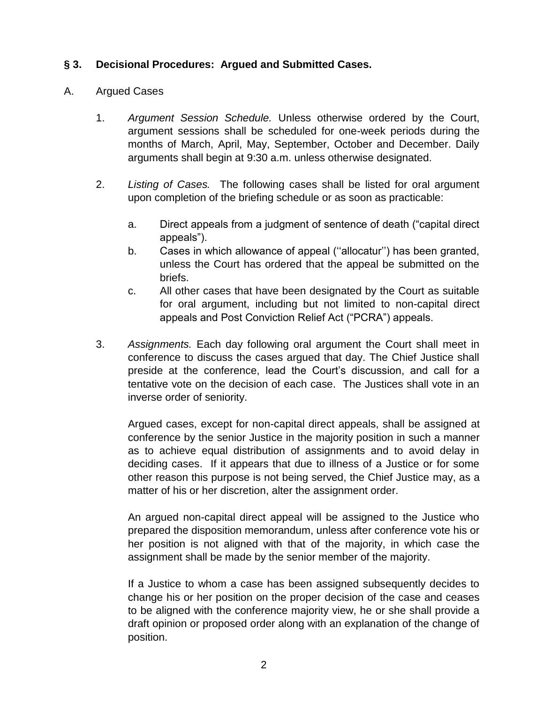### **§ 3. Decisional Procedures: Argued and Submitted Cases.**

### A. Argued Cases

- 1. *Argument Session Schedule.* Unless otherwise ordered by the Court, argument sessions shall be scheduled for one-week periods during the months of March, April, May, September, October and December. Daily arguments shall begin at 9:30 a.m. unless otherwise designated.
- 2. *Listing of Cases.* The following cases shall be listed for oral argument upon completion of the briefing schedule or as soon as practicable:
	- a. Direct appeals from a judgment of sentence of death ("capital direct appeals").
	- b. Cases in which allowance of appeal (''allocatur'') has been granted, unless the Court has ordered that the appeal be submitted on the briefs.
	- c. All other cases that have been designated by the Court as suitable for oral argument, including but not limited to non-capital direct appeals and Post Conviction Relief Act ("PCRA") appeals.
- 3. *Assignments.* Each day following oral argument the Court shall meet in conference to discuss the cases argued that day. The Chief Justice shall preside at the conference, lead the Court's discussion, and call for a tentative vote on the decision of each case. The Justices shall vote in an inverse order of seniority.

Argued cases, except for non-capital direct appeals, shall be assigned at conference by the senior Justice in the majority position in such a manner as to achieve equal distribution of assignments and to avoid delay in deciding cases. If it appears that due to illness of a Justice or for some other reason this purpose is not being served, the Chief Justice may, as a matter of his or her discretion, alter the assignment order.

An argued non-capital direct appeal will be assigned to the Justice who prepared the disposition memorandum, unless after conference vote his or her position is not aligned with that of the majority, in which case the assignment shall be made by the senior member of the majority.

If a Justice to whom a case has been assigned subsequently decides to change his or her position on the proper decision of the case and ceases to be aligned with the conference majority view, he or she shall provide a draft opinion or proposed order along with an explanation of the change of position.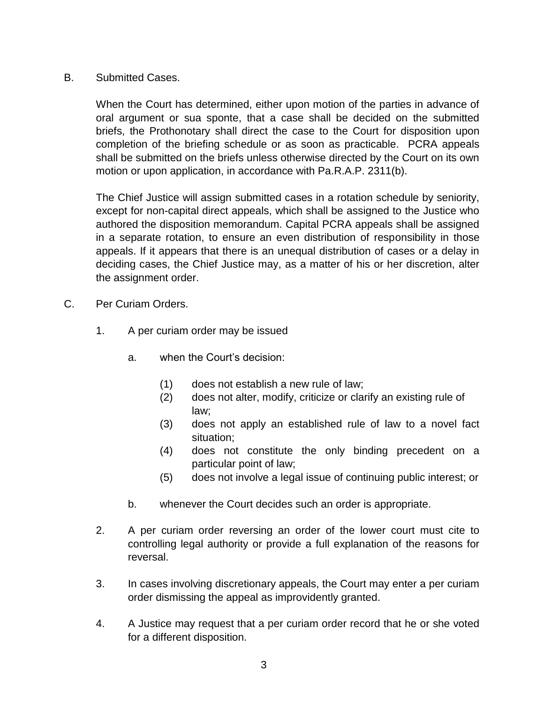### B. Submitted Cases.

When the Court has determined, either upon motion of the parties in advance of oral argument or sua sponte, that a case shall be decided on the submitted briefs, the Prothonotary shall direct the case to the Court for disposition upon completion of the briefing schedule or as soon as practicable. PCRA appeals shall be submitted on the briefs unless otherwise directed by the Court on its own motion or upon application, in accordance with Pa.R.A.P. 2311(b).

The Chief Justice will assign submitted cases in a rotation schedule by seniority, except for non-capital direct appeals, which shall be assigned to the Justice who authored the disposition memorandum. Capital PCRA appeals shall be assigned in a separate rotation, to ensure an even distribution of responsibility in those appeals. If it appears that there is an unequal distribution of cases or a delay in deciding cases, the Chief Justice may, as a matter of his or her discretion, alter the assignment order.

- C. Per Curiam Orders.
	- 1. A per curiam order may be issued
		- a. when the Court's decision:
			- (1) does not establish a new rule of law;
			- (2) does not alter, modify, criticize or clarify an existing rule of law;
			- (3) does not apply an established rule of law to a novel fact situation;
			- (4) does not constitute the only binding precedent on a particular point of law;
			- (5) does not involve a legal issue of continuing public interest; or
		- b. whenever the Court decides such an order is appropriate.
	- 2. A per curiam order reversing an order of the lower court must cite to controlling legal authority or provide a full explanation of the reasons for reversal.
	- 3. In cases involving discretionary appeals, the Court may enter a per curiam order dismissing the appeal as improvidently granted.
	- 4. A Justice may request that a per curiam order record that he or she voted for a different disposition.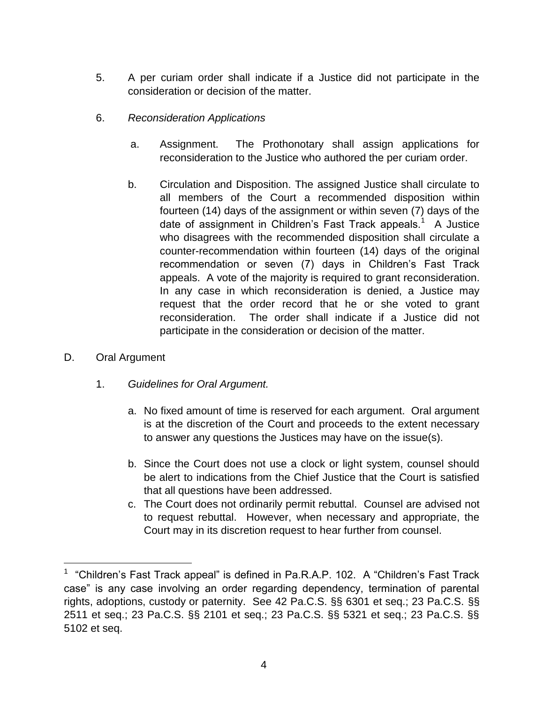- 5. A per curiam order shall indicate if a Justice did not participate in the consideration or decision of the matter.
- 6. *Reconsideration Applications*
	- a. Assignment. The Prothonotary shall assign applications for reconsideration to the Justice who authored the per curiam order.
	- b. Circulation and Disposition. The assigned Justice shall circulate to all members of the Court a recommended disposition within fourteen (14) days of the assignment or within seven (7) days of the date of assignment in Children's Fast Track appeals.<sup>1</sup> A Justice who disagrees with the recommended disposition shall circulate a counter-recommendation within fourteen (14) days of the original recommendation or seven (7) days in Children's Fast Track appeals. A vote of the majority is required to grant reconsideration. In any case in which reconsideration is denied, a Justice may request that the order record that he or she voted to grant reconsideration. The order shall indicate if a Justice did not participate in the consideration or decision of the matter.
- D. Oral Argument

 $\overline{a}$ 

- 1. *Guidelines for Oral Argument.*
	- a. No fixed amount of time is reserved for each argument. Oral argument is at the discretion of the Court and proceeds to the extent necessary to answer any questions the Justices may have on the issue(s).
	- b. Since the Court does not use a clock or light system, counsel should be alert to indications from the Chief Justice that the Court is satisfied that all questions have been addressed.
	- c. The Court does not ordinarily permit rebuttal. Counsel are advised not to request rebuttal. However, when necessary and appropriate, the Court may in its discretion request to hear further from counsel.

<sup>&</sup>lt;sup>1</sup> "Children's Fast Track appeal" is defined in Pa.R.A.P. 102. A "Children's Fast Track case" is any case involving an order regarding dependency, termination of parental rights, adoptions, custody or paternity. See 42 Pa.C.S. §§ 6301 et seq.; 23 Pa.C.S. §§ 2511 et seq.; 23 Pa.C.S. §§ 2101 et seq.; 23 Pa.C.S. §§ 5321 et seq.; 23 Pa.C.S. §§ 5102 et seq.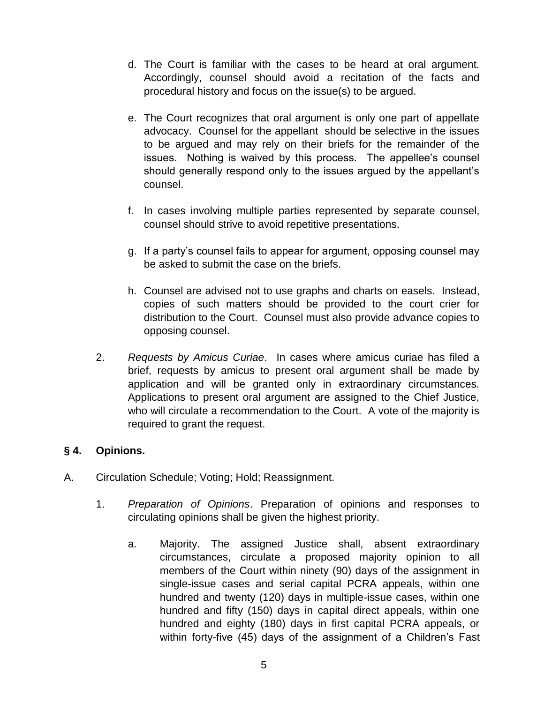- d. The Court is familiar with the cases to be heard at oral argument. Accordingly, counsel should avoid a recitation of the facts and procedural history and focus on the issue(s) to be argued.
- e. The Court recognizes that oral argument is only one part of appellate advocacy. Counsel for the appellant should be selective in the issues to be argued and may rely on their briefs for the remainder of the issues. Nothing is waived by this process. The appellee's counsel should generally respond only to the issues argued by the appellant's counsel.
- f. In cases involving multiple parties represented by separate counsel, counsel should strive to avoid repetitive presentations.
- g. If a party's counsel fails to appear for argument, opposing counsel may be asked to submit the case on the briefs.
- h. Counsel are advised not to use graphs and charts on easels. Instead, copies of such matters should be provided to the court crier for distribution to the Court. Counsel must also provide advance copies to opposing counsel.
- 2. *Requests by Amicus Curiae*. In cases where amicus curiae has filed a brief, requests by amicus to present oral argument shall be made by application and will be granted only in extraordinary circumstances. Applications to present oral argument are assigned to the Chief Justice, who will circulate a recommendation to the Court. A vote of the majority is required to grant the request.

## **§ 4. Opinions.**

- A. Circulation Schedule; Voting; Hold; Reassignment.
	- 1. *Preparation of Opinions*. Preparation of opinions and responses to circulating opinions shall be given the highest priority.
		- a. Majority. The assigned Justice shall, absent extraordinary circumstances, circulate a proposed majority opinion to all members of the Court within ninety (90) days of the assignment in single-issue cases and serial capital PCRA appeals, within one hundred and twenty (120) days in multiple-issue cases, within one hundred and fifty (150) days in capital direct appeals, within one hundred and eighty (180) days in first capital PCRA appeals, or within forty-five (45) days of the assignment of a Children's Fast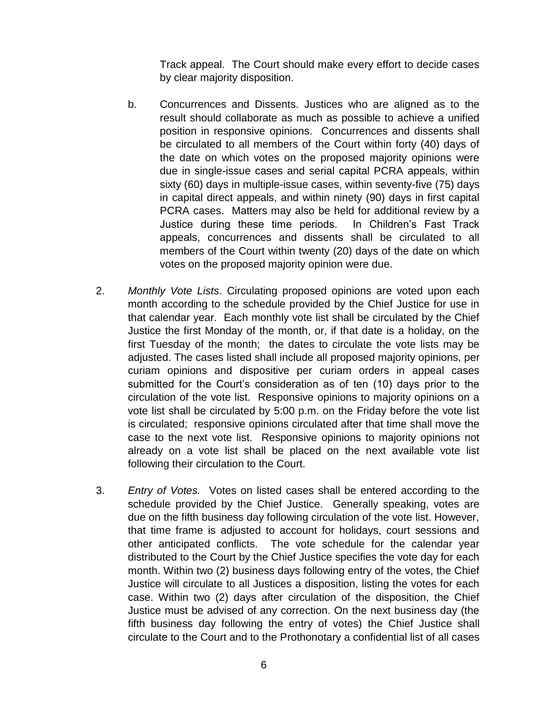Track appeal. The Court should make every effort to decide cases by clear majority disposition.

- b. Concurrences and Dissents. Justices who are aligned as to the result should collaborate as much as possible to achieve a unified position in responsive opinions.Concurrences and dissents shall be circulated to all members of the Court within forty (40) days of the date on which votes on the proposed majority opinions were due in single-issue cases and serial capital PCRA appeals, within sixty (60) days in multiple-issue cases, within seventy-five (75) days in capital direct appeals, and within ninety (90) days in first capital PCRA cases. Matters may also be held for additional review by a Justice during these time periods. In Children's Fast Track appeals, concurrences and dissents shall be circulated to all members of the Court within twenty (20) days of the date on which votes on the proposed majority opinion were due.
- 2. *Monthly Vote Lists*. Circulating proposed opinions are voted upon each month according to the schedule provided by the Chief Justice for use in that calendar year. Each monthly vote list shall be circulated by the Chief Justice the first Monday of the month, or, if that date is a holiday, on the first Tuesday of the month; the dates to circulate the vote lists may be adjusted. The cases listed shall include all proposed majority opinions, per curiam opinions and dispositive per curiam orders in appeal cases submitted for the Court's consideration as of ten (10) days prior to the circulation of the vote list. Responsive opinions to majority opinions on a vote list shall be circulated by 5:00 p.m. on the Friday before the vote list is circulated; responsive opinions circulated after that time shall move the case to the next vote list. Responsive opinions to majority opinions not already on a vote list shall be placed on the next available vote list following their circulation to the Court.
- 3. *Entry of Votes.* Votes on listed cases shall be entered according to the schedule provided by the Chief Justice. Generally speaking, votes are due on the fifth business day following circulation of the vote list. However, that time frame is adjusted to account for holidays, court sessions and other anticipated conflicts. The vote schedule for the calendar year distributed to the Court by the Chief Justice specifies the vote day for each month. Within two (2) business days following entry of the votes, the Chief Justice will circulate to all Justices a disposition, listing the votes for each case. Within two (2) days after circulation of the disposition, the Chief Justice must be advised of any correction. On the next business day (the fifth business day following the entry of votes) the Chief Justice shall circulate to the Court and to the Prothonotary a confidential list of all cases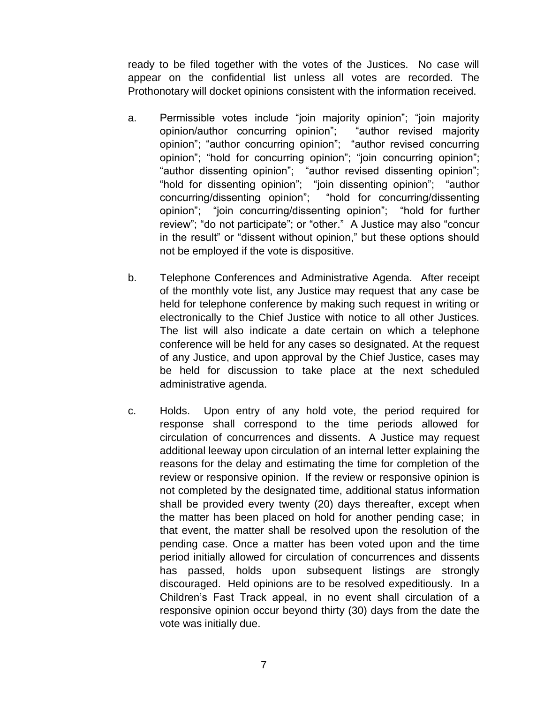ready to be filed together with the votes of the Justices. No case will appear on the confidential list unless all votes are recorded. The Prothonotary will docket opinions consistent with the information received.

- a. Permissible votes include "join majority opinion"; "join majority opinion/author concurring opinion"; "author revised majority opinion"; "author concurring opinion"; "author revised concurring opinion"; "hold for concurring opinion"; "join concurring opinion"; "author dissenting opinion"; "author revised dissenting opinion"; "hold for dissenting opinion"; "join dissenting opinion"; "author "hold for concurring/dissenting opinion"; "join concurring/dissenting opinion"; "hold for further review"; "do not participate"; or "other." A Justice may also "concur in the result" or "dissent without opinion," but these options should not be employed if the vote is dispositive.
- b. Telephone Conferences and Administrative Agenda. After receipt of the monthly vote list, any Justice may request that any case be held for telephone conference by making such request in writing or electronically to the Chief Justice with notice to all other Justices. The list will also indicate a date certain on which a telephone conference will be held for any cases so designated. At the request of any Justice, and upon approval by the Chief Justice, cases may be held for discussion to take place at the next scheduled administrative agenda.
- c. Holds. Upon entry of any hold vote, the period required for response shall correspond to the time periods allowed for circulation of concurrences and dissents. A Justice may request additional leeway upon circulation of an internal letter explaining the reasons for the delay and estimating the time for completion of the review or responsive opinion. If the review or responsive opinion is not completed by the designated time, additional status information shall be provided every twenty (20) days thereafter, except when the matter has been placed on hold for another pending case; in that event, the matter shall be resolved upon the resolution of the pending case. Once a matter has been voted upon and the time period initially allowed for circulation of concurrences and dissents has passed, holds upon subsequent listings are strongly discouraged. Held opinions are to be resolved expeditiously. In a Children's Fast Track appeal, in no event shall circulation of a responsive opinion occur beyond thirty (30) days from the date the vote was initially due.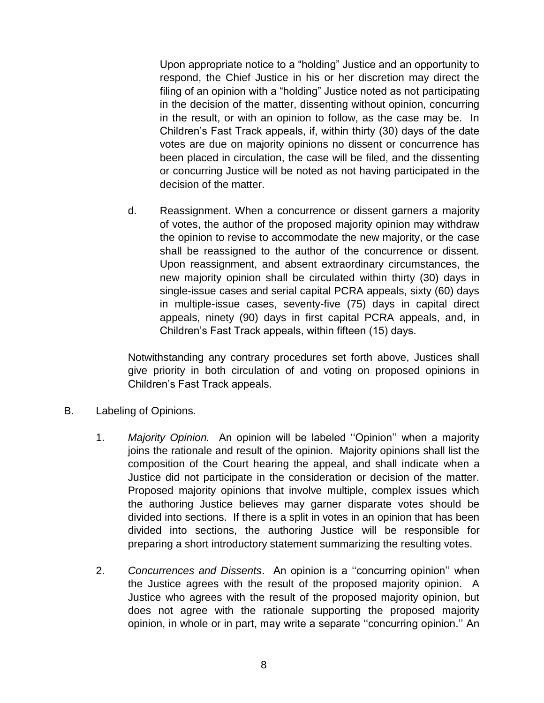Upon appropriate notice to a "holding" Justice and an opportunity to respond, the Chief Justice in his or her discretion may direct the filing of an opinion with a "holding" Justice noted as not participating in the decision of the matter, dissenting without opinion, concurring in the result, or with an opinion to follow, as the case may be. In Children's Fast Track appeals, if, within thirty (30) days of the date votes are due on majority opinions no dissent or concurrence has been placed in circulation, the case will be filed, and the dissenting or concurring Justice will be noted as not having participated in the decision of the matter.

d. Reassignment. When a concurrence or dissent garners a majority of votes, the author of the proposed majority opinion may withdraw the opinion to revise to accommodate the new majority, or the case shall be reassigned to the author of the concurrence or dissent. Upon reassignment, and absent extraordinary circumstances, the new majority opinion shall be circulated within thirty (30) days in single-issue cases and serial capital PCRA appeals, sixty (60) days in multiple-issue cases, seventy-five (75) days in capital direct appeals, ninety (90) days in first capital PCRA appeals, and, in Children's Fast Track appeals, within fifteen (15) days.

Notwithstanding any contrary procedures set forth above, Justices shall give priority in both circulation of and voting on proposed opinions in Children's Fast Track appeals.

- B. Labeling of Opinions.
	- 1. *Majority Opinion.* An opinion will be labeled ''Opinion'' when a majority joins the rationale and result of the opinion. Majority opinions shall list the composition of the Court hearing the appeal, and shall indicate when a Justice did not participate in the consideration or decision of the matter. Proposed majority opinions that involve multiple, complex issues which the authoring Justice believes may garner disparate votes should be divided into sections. If there is a split in votes in an opinion that has been divided into sections, the authoring Justice will be responsible for preparing a short introductory statement summarizing the resulting votes.
	- 2. *Concurrences and Dissents*. An opinion is a ''concurring opinion'' when the Justice agrees with the result of the proposed majority opinion. A Justice who agrees with the result of the proposed majority opinion, but does not agree with the rationale supporting the proposed majority opinion, in whole or in part, may write a separate ''concurring opinion.'' An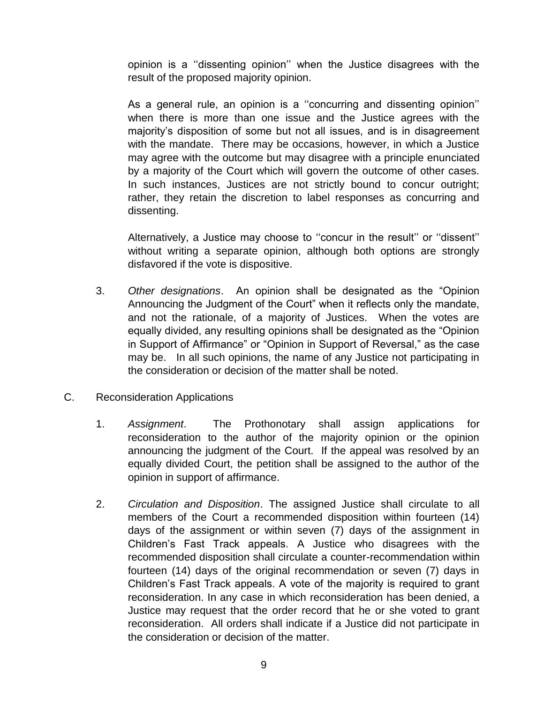opinion is a ''dissenting opinion'' when the Justice disagrees with the result of the proposed majority opinion.

As a general rule, an opinion is a ''concurring and dissenting opinion'' when there is more than one issue and the Justice agrees with the majority's disposition of some but not all issues, and is in disagreement with the mandate. There may be occasions, however, in which a Justice may agree with the outcome but may disagree with a principle enunciated by a majority of the Court which will govern the outcome of other cases. In such instances, Justices are not strictly bound to concur outright; rather, they retain the discretion to label responses as concurring and dissenting.

Alternatively, a Justice may choose to ''concur in the result'' or ''dissent'' without writing a separate opinion, although both options are strongly disfavored if the vote is dispositive.

- 3. *Other designations*. An opinion shall be designated as the "Opinion Announcing the Judgment of the Court" when it reflects only the mandate, and not the rationale, of a majority of Justices. When the votes are equally divided, any resulting opinions shall be designated as the "Opinion in Support of Affirmance" or "Opinion in Support of Reversal," as the case may be. In all such opinions, the name of any Justice not participating in the consideration or decision of the matter shall be noted.
- C. Reconsideration Applications
	- 1. *Assignment*. The Prothonotary shall assign applications for reconsideration to the author of the majority opinion or the opinion announcing the judgment of the Court. If the appeal was resolved by an equally divided Court, the petition shall be assigned to the author of the opinion in support of affirmance.
	- 2. *Circulation and Disposition*. The assigned Justice shall circulate to all members of the Court a recommended disposition within fourteen (14) days of the assignment or within seven (7) days of the assignment in Children's Fast Track appeals. A Justice who disagrees with the recommended disposition shall circulate a counter-recommendation within fourteen (14) days of the original recommendation or seven (7) days in Children's Fast Track appeals. A vote of the majority is required to grant reconsideration. In any case in which reconsideration has been denied, a Justice may request that the order record that he or she voted to grant reconsideration. All orders shall indicate if a Justice did not participate in the consideration or decision of the matter.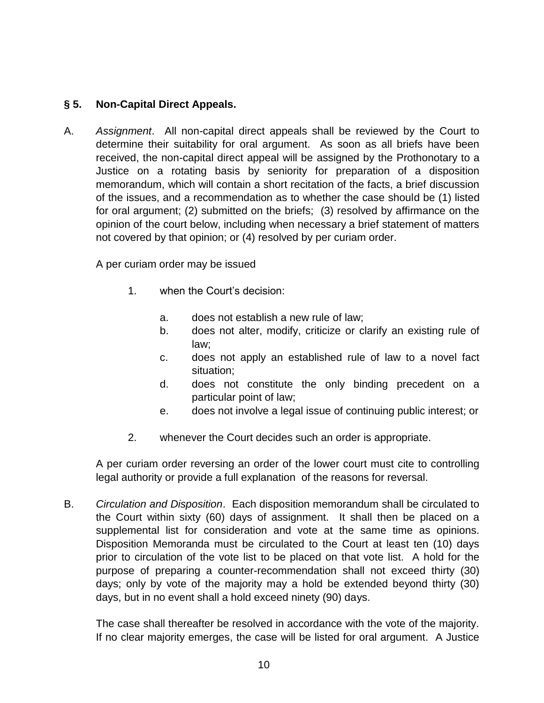# **§ 5. Non-Capital Direct Appeals.**

A. *Assignment*. All non-capital direct appeals shall be reviewed by the Court to determine their suitability for oral argument. As soon as all briefs have been received, the non-capital direct appeal will be assigned by the Prothonotary to a Justice on a rotating basis by seniority for preparation of a disposition memorandum, which will contain a short recitation of the facts, a brief discussion of the issues, and a recommendation as to whether the case should be (1) listed for oral argument; (2) submitted on the briefs; (3) resolved by affirmance on the opinion of the court below, including when necessary a brief statement of matters not covered by that opinion; or (4) resolved by per curiam order.

A per curiam order may be issued

- 1. when the Court's decision:
	- a. does not establish a new rule of law;
	- b. does not alter, modify, criticize or clarify an existing rule of law;
	- c. does not apply an established rule of law to a novel fact situation;
	- d. does not constitute the only binding precedent on a particular point of law;
	- e. does not involve a legal issue of continuing public interest; or
- 2. whenever the Court decides such an order is appropriate.

A per curiam order reversing an order of the lower court must cite to controlling legal authority or provide a full explanation of the reasons for reversal.

B. *Circulation and Disposition*. Each disposition memorandum shall be circulated to the Court within sixty (60) days of assignment. It shall then be placed on a supplemental list for consideration and vote at the same time as opinions. Disposition Memoranda must be circulated to the Court at least ten (10) days prior to circulation of the vote list to be placed on that vote list. A hold for the purpose of preparing a counter-recommendation shall not exceed thirty (30) days; only by vote of the majority may a hold be extended beyond thirty (30) days, but in no event shall a hold exceed ninety (90) days.

The case shall thereafter be resolved in accordance with the vote of the majority. If no clear majority emerges, the case will be listed for oral argument. A Justice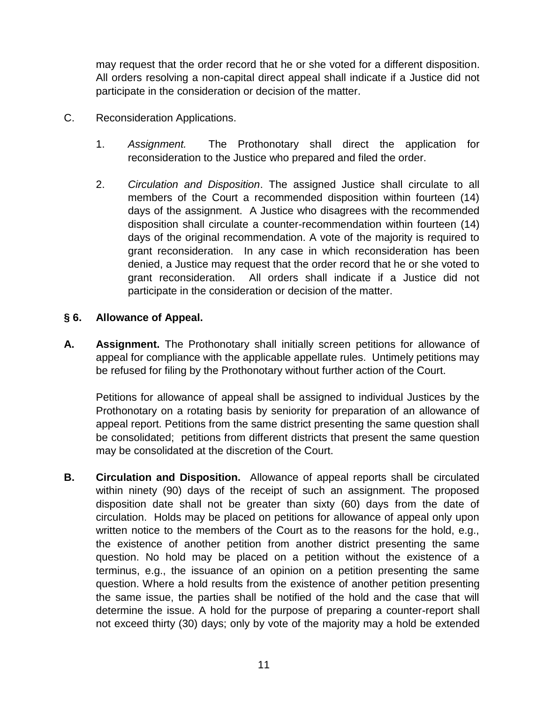may request that the order record that he or she voted for a different disposition. All orders resolving a non-capital direct appeal shall indicate if a Justice did not participate in the consideration or decision of the matter.

- C. Reconsideration Applications.
	- 1. *Assignment.* The Prothonotary shall direct the application for reconsideration to the Justice who prepared and filed the order.
	- 2. *Circulation and Disposition*. The assigned Justice shall circulate to all members of the Court a recommended disposition within fourteen (14) days of the assignment. A Justice who disagrees with the recommended disposition shall circulate a counter-recommendation within fourteen (14) days of the original recommendation. A vote of the majority is required to grant reconsideration. In any case in which reconsideration has been denied, a Justice may request that the order record that he or she voted to grant reconsideration. All orders shall indicate if a Justice did not participate in the consideration or decision of the matter.

## **§ 6. Allowance of Appeal.**

**A. Assignment.** The Prothonotary shall initially screen petitions for allowance of appeal for compliance with the applicable appellate rules. Untimely petitions may be refused for filing by the Prothonotary without further action of the Court.

Petitions for allowance of appeal shall be assigned to individual Justices by the Prothonotary on a rotating basis by seniority for preparation of an allowance of appeal report. Petitions from the same district presenting the same question shall be consolidated; petitions from different districts that present the same question may be consolidated at the discretion of the Court.

**B. Circulation and Disposition.** Allowance of appeal reports shall be circulated within ninety (90) days of the receipt of such an assignment. The proposed disposition date shall not be greater than sixty (60) days from the date of circulation. Holds may be placed on petitions for allowance of appeal only upon written notice to the members of the Court as to the reasons for the hold, e.g., the existence of another petition from another district presenting the same question. No hold may be placed on a petition without the existence of a terminus, e.g., the issuance of an opinion on a petition presenting the same question. Where a hold results from the existence of another petition presenting the same issue, the parties shall be notified of the hold and the case that will determine the issue. A hold for the purpose of preparing a counter-report shall not exceed thirty (30) days; only by vote of the majority may a hold be extended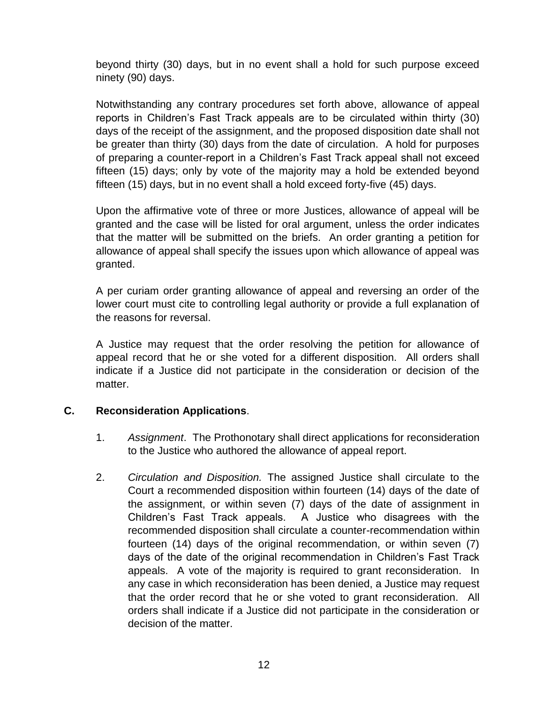beyond thirty (30) days, but in no event shall a hold for such purpose exceed ninety (90) days.

Notwithstanding any contrary procedures set forth above, allowance of appeal reports in Children's Fast Track appeals are to be circulated within thirty (30) days of the receipt of the assignment, and the proposed disposition date shall not be greater than thirty (30) days from the date of circulation. A hold for purposes of preparing a counter-report in a Children's Fast Track appeal shall not exceed fifteen (15) days; only by vote of the majority may a hold be extended beyond fifteen (15) days, but in no event shall a hold exceed forty-five (45) days.

Upon the affirmative vote of three or more Justices, allowance of appeal will be granted and the case will be listed for oral argument, unless the order indicates that the matter will be submitted on the briefs. An order granting a petition for allowance of appeal shall specify the issues upon which allowance of appeal was granted.

A per curiam order granting allowance of appeal and reversing an order of the lower court must cite to controlling legal authority or provide a full explanation of the reasons for reversal.

A Justice may request that the order resolving the petition for allowance of appeal record that he or she voted for a different disposition. All orders shall indicate if a Justice did not participate in the consideration or decision of the matter.

## **C. Reconsideration Applications**.

- 1. *Assignment*. The Prothonotary shall direct applications for reconsideration to the Justice who authored the allowance of appeal report.
- 2. *Circulation and Disposition.* The assigned Justice shall circulate to the Court a recommended disposition within fourteen (14) days of the date of the assignment, or within seven (7) days of the date of assignment in Children's Fast Track appeals. A Justice who disagrees with the recommended disposition shall circulate a counter-recommendation within fourteen (14) days of the original recommendation, or within seven (7) days of the date of the original recommendation in Children's Fast Track appeals. A vote of the majority is required to grant reconsideration. In any case in which reconsideration has been denied, a Justice may request that the order record that he or she voted to grant reconsideration. All orders shall indicate if a Justice did not participate in the consideration or decision of the matter.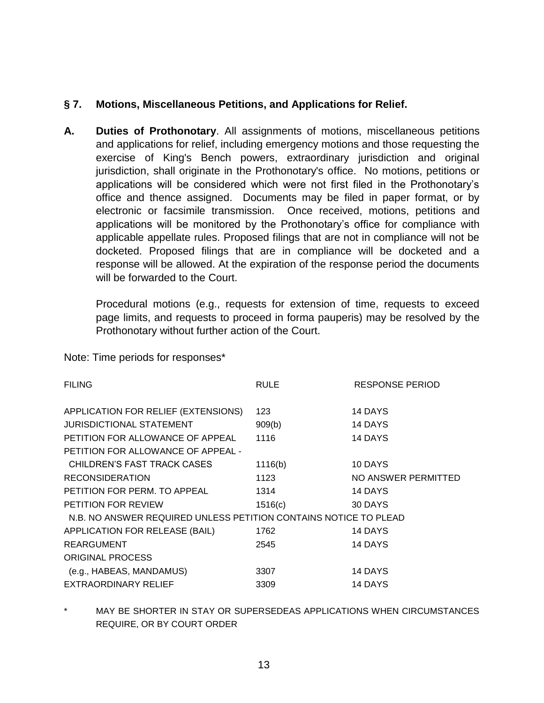### **§ 7. Motions, Miscellaneous Petitions, and Applications for Relief.**

**A. Duties of Prothonotary**. All assignments of motions, miscellaneous petitions and applications for relief, including emergency motions and those requesting the exercise of King's Bench powers, extraordinary jurisdiction and original jurisdiction, shall originate in the Prothonotary's office. No motions, petitions or applications will be considered which were not first filed in the Prothonotary's office and thence assigned. Documents may be filed in paper format, or by electronic or facsimile transmission. Once received, motions, petitions and applications will be monitored by the Prothonotary's office for compliance with applicable appellate rules. Proposed filings that are not in compliance will not be docketed. Proposed filings that are in compliance will be docketed and a response will be allowed. At the expiration of the response period the documents will be forwarded to the Court.

Procedural motions (e.g., requests for extension of time, requests to exceed page limits, and requests to proceed in forma pauperis) may be resolved by the Prothonotary without further action of the Court.

Note: Time periods for responses\*

| <b>FILING</b>                                                    | <b>RULE</b> | <b>RESPONSE PERIOD</b> |
|------------------------------------------------------------------|-------------|------------------------|
| APPLICATION FOR RELIEF (EXTENSIONS)                              | 123         | 14 DAYS                |
| JURISDICTIONAL STATEMENT                                         | 909(b)      | 14 DAYS                |
| PETITION FOR ALLOWANCE OF APPEAL                                 | 1116        | 14 DAYS                |
| PETITION FOR ALLOWANCE OF APPEAL -                               |             |                        |
| CHILDREN'S FAST TRACK CASES                                      | 1116(b)     | 10 DAYS                |
| <b>RECONSIDERATION</b>                                           | 1123        | NO ANSWER PERMITTED    |
| PETITION FOR PERM. TO APPEAL                                     | 1314        | 14 DAYS                |
| <b>PETITION FOR REVIEW</b>                                       | 1516(c)     | 30 DAYS                |
| N.B. NO ANSWER REQUIRED UNLESS PETITION CONTAINS NOTICE TO PLEAD |             |                        |
| APPLICATION FOR RELEASE (BAIL)                                   | 1762        | 14 DAYS                |
| <b>REARGUMENT</b>                                                | 2545        | 14 DAYS                |
| <b>ORIGINAL PROCESS</b>                                          |             |                        |
| (e.g., HABEAS, MANDAMUS)                                         | 3307        | 14 DAYS                |
| <b>EXTRAORDINARY RELIEF</b>                                      | 3309        | 14 DAYS                |

MAY BE SHORTER IN STAY OR SUPERSEDEAS APPLICATIONS WHEN CIRCUMSTANCES REQUIRE, OR BY COURT ORDER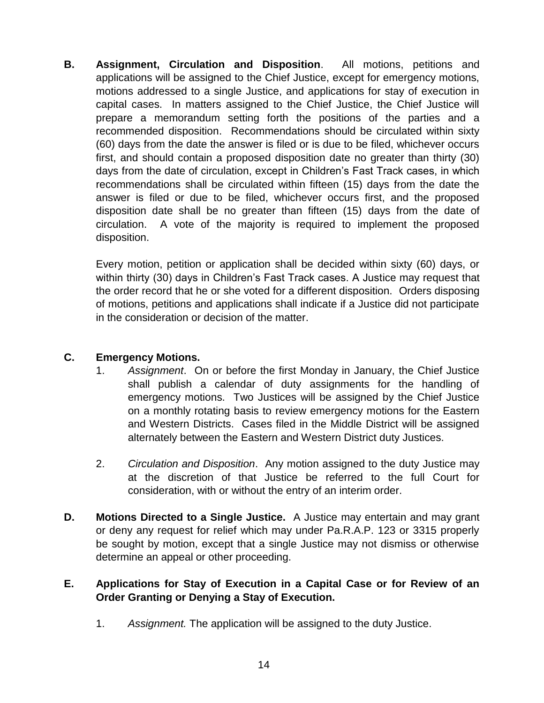**B. Assignment, Circulation and Disposition**. All motions, petitions and applications will be assigned to the Chief Justice, except for emergency motions, motions addressed to a single Justice, and applications for stay of execution in capital cases. In matters assigned to the Chief Justice, the Chief Justice will prepare a memorandum setting forth the positions of the parties and a recommended disposition. Recommendations should be circulated within sixty (60) days from the date the answer is filed or is due to be filed, whichever occurs first, and should contain a proposed disposition date no greater than thirty (30) days from the date of circulation, except in Children's Fast Track cases, in which recommendations shall be circulated within fifteen (15) days from the date the answer is filed or due to be filed, whichever occurs first, and the proposed disposition date shall be no greater than fifteen (15) days from the date of circulation. A vote of the majority is required to implement the proposed disposition.

Every motion, petition or application shall be decided within sixty (60) days, or within thirty (30) days in Children's Fast Track cases. A Justice may request that the order record that he or she voted for a different disposition.Orders disposing of motions, petitions and applications shall indicate if a Justice did not participate in the consideration or decision of the matter.

# **C. Emergency Motions.**

- 1. *Assignment*. On or before the first Monday in January, the Chief Justice shall publish a calendar of duty assignments for the handling of emergency motions. Two Justices will be assigned by the Chief Justice on a monthly rotating basis to review emergency motions for the Eastern and Western Districts. Cases filed in the Middle District will be assigned alternately between the Eastern and Western District duty Justices.
- 2. *Circulation and Disposition*. Any motion assigned to the duty Justice may at the discretion of that Justice be referred to the full Court for consideration, with or without the entry of an interim order.
- **D. Motions Directed to a Single Justice.** A Justice may entertain and may grant or deny any request for relief which may under Pa.R.A.P. 123 or 3315 properly be sought by motion, except that a single Justice may not dismiss or otherwise determine an appeal or other proceeding.

## **E. Applications for Stay of Execution in a Capital Case or for Review of an Order Granting or Denying a Stay of Execution.**

1. *Assignment.* The application will be assigned to the duty Justice.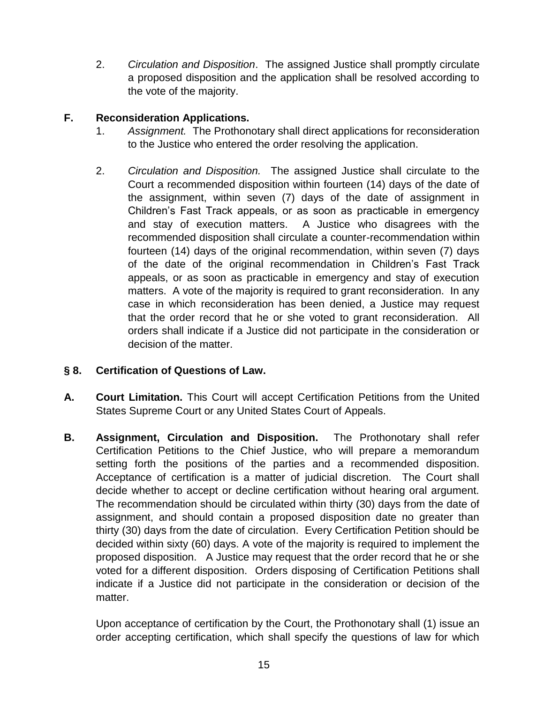2. *Circulation and Disposition*. The assigned Justice shall promptly circulate a proposed disposition and the application shall be resolved according to the vote of the majority.

## **F. Reconsideration Applications.**

- 1. *Assignment.* The Prothonotary shall direct applications for reconsideration to the Justice who entered the order resolving the application.
- 2. *Circulation and Disposition.* The assigned Justice shall circulate to the Court a recommended disposition within fourteen (14) days of the date of the assignment, within seven (7) days of the date of assignment in Children's Fast Track appeals, or as soon as practicable in emergency and stay of execution matters. A Justice who disagrees with the recommended disposition shall circulate a counter-recommendation within fourteen (14) days of the original recommendation, within seven (7) days of the date of the original recommendation in Children's Fast Track appeals, or as soon as practicable in emergency and stay of execution matters. A vote of the majority is required to grant reconsideration. In any case in which reconsideration has been denied, a Justice may request that the order record that he or she voted to grant reconsideration. All orders shall indicate if a Justice did not participate in the consideration or decision of the matter.

# **§ 8. Certification of Questions of Law.**

- **A. Court Limitation.** This Court will accept Certification Petitions from the United States Supreme Court or any United States Court of Appeals.
- **B. Assignment, Circulation and Disposition.** The Prothonotary shall refer Certification Petitions to the Chief Justice, who will prepare a memorandum setting forth the positions of the parties and a recommended disposition. Acceptance of certification is a matter of judicial discretion. The Court shall decide whether to accept or decline certification without hearing oral argument. The recommendation should be circulated within thirty (30) days from the date of assignment, and should contain a proposed disposition date no greater than thirty (30) days from the date of circulation. Every Certification Petition should be decided within sixty (60) days. A vote of the majority is required to implement the proposed disposition. A Justice may request that the order record that he or she voted for a different disposition.Orders disposing of Certification Petitions shall indicate if a Justice did not participate in the consideration or decision of the matter.

Upon acceptance of certification by the Court, the Prothonotary shall (1) issue an order accepting certification, which shall specify the questions of law for which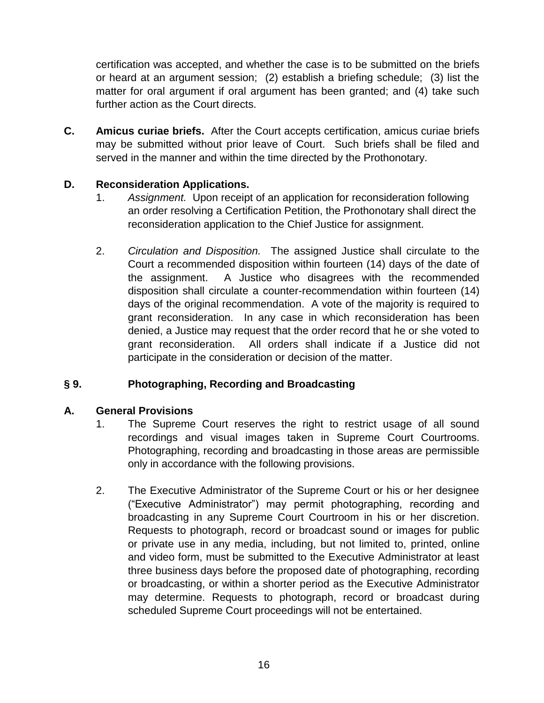certification was accepted, and whether the case is to be submitted on the briefs or heard at an argument session; (2) establish a briefing schedule; (3) list the matter for oral argument if oral argument has been granted; and (4) take such further action as the Court directs.

**C. Amicus curiae briefs.** After the Court accepts certification, amicus curiae briefs may be submitted without prior leave of Court. Such briefs shall be filed and served in the manner and within the time directed by the Prothonotary.

## **D. Reconsideration Applications.**

- 1. *Assignment.* Upon receipt of an application for reconsideration following an order resolving a Certification Petition, the Prothonotary shall direct the reconsideration application to the Chief Justice for assignment.
- 2. *Circulation and Disposition.* The assigned Justice shall circulate to the Court a recommended disposition within fourteen (14) days of the date of the assignment. A Justice who disagrees with the recommended disposition shall circulate a counter-recommendation within fourteen (14) days of the original recommendation. A vote of the majority is required to grant reconsideration. In any case in which reconsideration has been denied, a Justice may request that the order record that he or she voted to grant reconsideration. All orders shall indicate if a Justice did not participate in the consideration or decision of the matter.

# **§ 9. Photographing, Recording and Broadcasting**

## **A. General Provisions**

- 1. The Supreme Court reserves the right to restrict usage of all sound recordings and visual images taken in Supreme Court Courtrooms. Photographing, recording and broadcasting in those areas are permissible only in accordance with the following provisions.
- 2. The Executive Administrator of the Supreme Court or his or her designee ("Executive Administrator") may permit photographing, recording and broadcasting in any Supreme Court Courtroom in his or her discretion. Requests to photograph, record or broadcast sound or images for public or private use in any media, including, but not limited to, printed, online and video form, must be submitted to the Executive Administrator at least three business days before the proposed date of photographing, recording or broadcasting, or within a shorter period as the Executive Administrator may determine. Requests to photograph, record or broadcast during scheduled Supreme Court proceedings will not be entertained.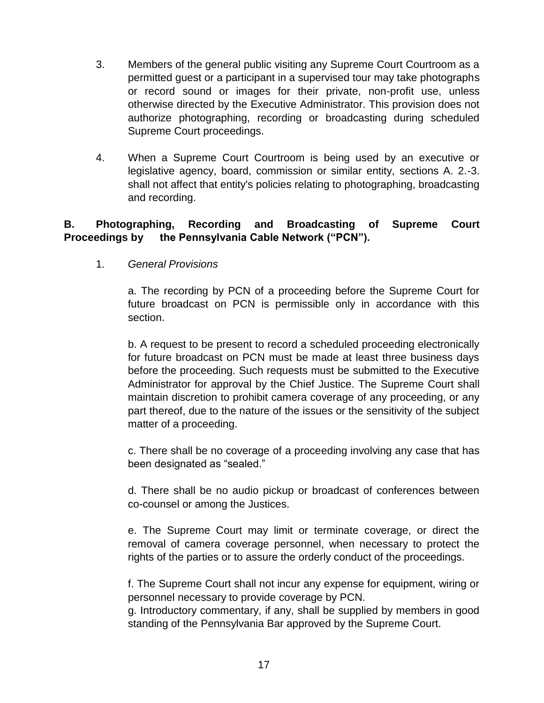- 3. Members of the general public visiting any Supreme Court Courtroom as a permitted guest or a participant in a supervised tour may take photographs or record sound or images for their private, non-profit use, unless otherwise directed by the Executive Administrator. This provision does not authorize photographing, recording or broadcasting during scheduled Supreme Court proceedings.
- 4. When a Supreme Court Courtroom is being used by an executive or legislative agency, board, commission or similar entity, sections A. 2.-3. shall not affect that entity's policies relating to photographing, broadcasting and recording.

## **B. Photographing, Recording and Broadcasting of Supreme Court Proceedings by the Pennsylvania Cable Network ("PCN").**

1. *General Provisions*

a. The recording by PCN of a proceeding before the Supreme Court for future broadcast on PCN is permissible only in accordance with this section.

b. A request to be present to record a scheduled proceeding electronically for future broadcast on PCN must be made at least three business days before the proceeding. Such requests must be submitted to the Executive Administrator for approval by the Chief Justice. The Supreme Court shall maintain discretion to prohibit camera coverage of any proceeding, or any part thereof, due to the nature of the issues or the sensitivity of the subject matter of a proceeding.

c. There shall be no coverage of a proceeding involving any case that has been designated as "sealed."

d. There shall be no audio pickup or broadcast of conferences between co-counsel or among the Justices.

e. The Supreme Court may limit or terminate coverage, or direct the removal of camera coverage personnel, when necessary to protect the rights of the parties or to assure the orderly conduct of the proceedings.

f. The Supreme Court shall not incur any expense for equipment, wiring or personnel necessary to provide coverage by PCN.

g. Introductory commentary, if any, shall be supplied by members in good standing of the Pennsylvania Bar approved by the Supreme Court.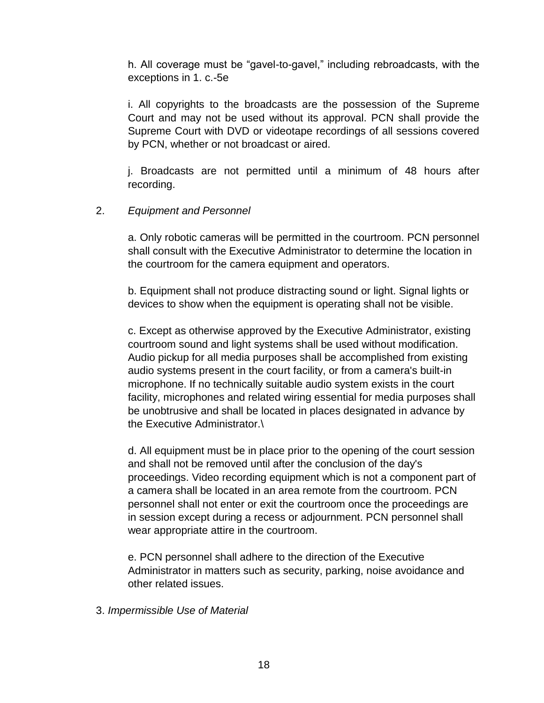h. All coverage must be "gavel-to-gavel," including rebroadcasts, with the exceptions in 1. c.-5e

i. All copyrights to the broadcasts are the possession of the Supreme Court and may not be used without its approval. PCN shall provide the Supreme Court with DVD or videotape recordings of all sessions covered by PCN, whether or not broadcast or aired.

j. Broadcasts are not permitted until a minimum of 48 hours after recording.

### 2. *Equipment and Personnel*

a. Only robotic cameras will be permitted in the courtroom. PCN personnel shall consult with the Executive Administrator to determine the location in the courtroom for the camera equipment and operators.

b. Equipment shall not produce distracting sound or light. Signal lights or devices to show when the equipment is operating shall not be visible.

c. Except as otherwise approved by the Executive Administrator, existing courtroom sound and light systems shall be used without modification. Audio pickup for all media purposes shall be accomplished from existing audio systems present in the court facility, or from a camera's built-in microphone. If no technically suitable audio system exists in the court facility, microphones and related wiring essential for media purposes shall be unobtrusive and shall be located in places designated in advance by the Executive Administrator.\

d. All equipment must be in place prior to the opening of the court session and shall not be removed until after the conclusion of the day's proceedings. Video recording equipment which is not a component part of a camera shall be located in an area remote from the courtroom. PCN personnel shall not enter or exit the courtroom once the proceedings are in session except during a recess or adjournment. PCN personnel shall wear appropriate attire in the courtroom.

e. PCN personnel shall adhere to the direction of the Executive Administrator in matters such as security, parking, noise avoidance and other related issues.

3. *Impermissible Use of Material*